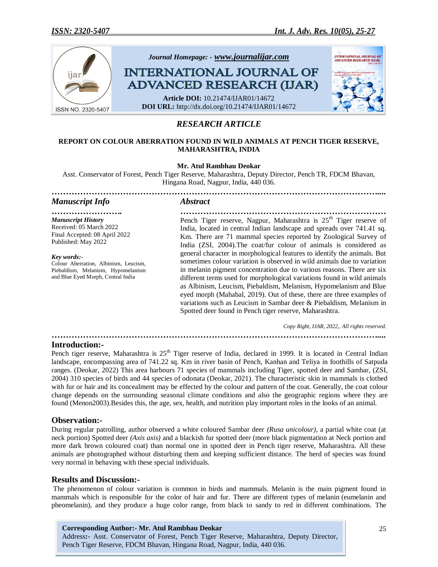

# *RESEARCH ARTICLE*

## **REPORT ON COLOUR ABERRATION FOUND IN WILD ANIMALS AT PENCH TIGER RESERVE, MAHARASHTRA, INDIA**

## **Mr. Atul Rambhau Deokar**

Asst. Conservator of Forest, Pench Tiger Reserve, Maharashtra, Deputy Director, Pench TR, FDCM Bhavan, Hingana Road, Nagpur, India, 440 036.

*……………………………………………………………………………………………………....*

## *Manuscript Info Abstract*

*Manuscript History* Received: 05 March 2022 Final Accepted: 08 April 2022 Published: May 2022

*Key words:-* Colour Aberration, Albinism, Leucism, Piebaldism, Melanism, Hypomelanism and Blue Eyed Morph, Central India

*……………………. ………………………………………………………………* Pench Tiger reserve, Nagpur, Maharashtra is  $25<sup>th</sup>$  Tiger reserve of India, located in central Indian landscape and spreads over 741.41 sq. Km. There are 71 mammal species reported by Zoological Survey of India (ZSI, 2004).The coat/fur colour of animals is considered as general character in morphological features to identify the animals. But sometimes colour variation is observed in wild animals due to variation in melanin pigment concentration due to various reasons. There are six different terms used for morphological variations found in wild animals as Albinism, Leucism, Piebaldism, Melanism, Hypomelanism and Blue eyed morph (Mahabal, 2019). Out of these, there are three examples of variations such as Leucism in Sambar deer & Piebaldism, Melanism in Spotted deer found in Pench tiger reserve, Maharashtra.

*Copy Right, IJAR, 2022,. All rights reserved.*

### *……………………………………………………………………………………………………....* **Introduction:-**

Pench tiger reserve, Maharashtra is 25<sup>th</sup> Tiger reserve of India, declared in 1999. It is located in Central Indian landscape, encompassing area of 741.22 sq. Km in river basin of Pench, Kanhan and Teliya in foothills of Satpuda ranges. (Deokar, 2022) This area harbours 71 species of mammals including Tiger, spotted deer and Sambar, (ZSI, 2004) 310 species of birds and 44 species of odonata (Deokar, 2021). The characteristic skin in mammals is clothed with fur or hair and its concealment may be effected by the colour and pattern of the coat. Generally, the coat colour change depends on the surrounding seasonal climate conditions and also the geographic regions where they are found (Menon2003).Besides this, the age, sex, health, and nutrition play important roles in the looks of an animal.

## **Observation:-**

During regular patrolling, author observed a white coloured Sambar deer *(Rusa unicolour)*, a partial white coat (at neck portion) Spotted deer *(Axis axis)* and a blackish fur spotted deer (more black pigmentation at Neck portion and more dark brown coloured coat) than normal one in spotted deer in Pench tiger reserve, Maharashtra. All these animals are photographed without disturbing them and keeping sufficient distance. The herd of species was found very normal in behaving with these special individuals.

## **Results and Discussion:-**

The phenomenon of colour variation is common in birds and mammals. Melanin is the main pigment found in mammals which is responsible for the color of hair and fur. There are different types of [melanin](http://www.webexhibits.org/causesofcolor/7F.html) (eumelanin and pheomelanin), and they produce a huge color range, from black to sandy to red in different combinations. The

**Corresponding Author:- Mr. Atul Rambhau Deokar** Address**:-** Asst. Conservator of Forest, Pench Tiger Reserve, Maharashtra, Deputy Director, Pench Tiger Reserve, FDCM Bhavan, Hingana Road, Nagpur, India, 440 036.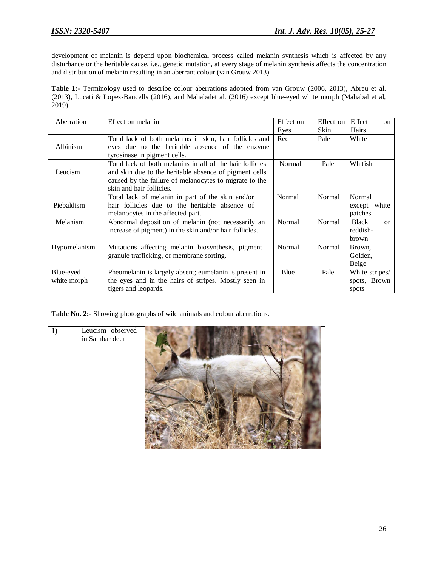development of melanin is depend upon biochemical process called melanin synthesis which is affected by any disturbance or the heritable cause, i.e., genetic mutation, at every stage of melanin synthesis affects the concentration and distribution of melanin resulting in an aberrant colour.(van Grouw 2013).

**Table 1:-** Terminology used to describe colour aberrations adopted from van Grouw (2006, 2013), Abreu et al. (2013), Lucati & Lopez-Baucells (2016), and Mahabalet al. (2016) except blue-eyed white morph (Mahabal et al, 2019).

| Aberration   | Effect on melanin                                        | Effect on | Effect on | Effect<br>$\alpha$         |
|--------------|----------------------------------------------------------|-----------|-----------|----------------------------|
|              |                                                          | Eyes      | Skin      | Hairs                      |
|              | Total lack of both melanins in skin, hair follicles and  | Red       | Pale      | White                      |
| Albinism     | eyes due to the heritable absence of the enzyme          |           |           |                            |
|              | tyrosinase in pigment cells.                             |           |           |                            |
|              | Total lack of both melanins in all of the hair follicles | Normal    | Pale      | Whitish                    |
| Leucism      | and skin due to the heritable absence of pigment cells   |           |           |                            |
|              | caused by the failure of melanocytes to migrate to the   |           |           |                            |
|              | skin and hair follicles.                                 |           |           |                            |
|              | Total lack of melanin in part of the skin and/or         | Normal    | Normal    | Normal                     |
| Piebaldism   | hair follicles due to the heritable absence of           |           |           | white<br>except            |
|              | melanocytes in the affected part.                        |           |           | patches                    |
| Melanism     | Abnormal deposition of melanin (not necessarily an       |           | Normal    | <b>Black</b><br>$\alpha$ r |
|              | increase of pigment) in the skin and/or hair follicles.  |           |           | reddish-                   |
|              |                                                          |           |           | brown                      |
| Hypomelanism | Mutations affecting melanin biosynthesis, pigment        | Normal    | Normal    | Brown,                     |
|              | granule trafficking, or membrane sorting.                |           |           | Golden.                    |
|              |                                                          |           |           | Beige                      |
| Blue-eyed    | Pheomelanin is largely absent; eumelanin is present in   | Blue      | Pale      | White stripes/             |
| white morph  | the eyes and in the hairs of stripes. Mostly seen in     |           |           | spots, Brown               |
|              | tigers and leopards.                                     |           |           | spots                      |

**Table No. 2:-** Showing photographs of wild animals and colour aberrations.

| 1) | Leucism observed<br>in Sambar deer |  |
|----|------------------------------------|--|
|    |                                    |  |